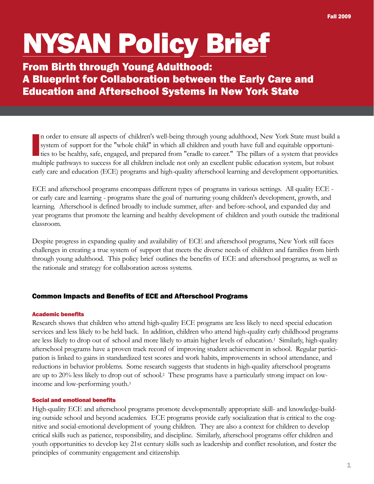# NYSAN Policy Brief

# From Birth through Young Adulthood: A Blueprint for Collaboration between the Early Care and Education and Afterschool Systems in New York State

I n order to ensure all aspects of children's well-being through young adulthood, New York State must build a system of support for the "whole child" in which all children and youth have full and equitable opportunities to be healthy, safe, engaged, and prepared from "cradle to career." The pillars of a system that provides multiple pathways to success for all children include not only an excellent public education system, but robust early care and education (ECE) programs and high-quality afterschool learning and development opportunities.

ECE and afterschool programs encompass different types of programs in various settings. All quality ECE or early care and learning - programs share the goal of nurturing young children's development, growth, and learning. Afterschool is defined broadly to include summer, after- and before-school, and expanded day and year programs that promote the learning and healthy development of children and youth outside the traditional classroom.

Despite progress in expanding quality and availability of ECE and afterschool programs, New York still faces challenges in creating a true system of support that meets the diverse needs of children and families from birth through young adulthood. This policy brief outlines the benefits of ECE and afterschool programs, as well as the rationale and strategy for collaboration across systems.

# Common Impacts and Benefits of ECE and Afterschool Programs

# Academic benefits

Research shows that children who attend high-quality ECE programs are less likely to need special education services and less likely to be held back. In addition, children who attend high-quality early childhood programs are less likely to drop out of school and more likely to attain higher levels of education.1 Similarly, high-quality afterschool programs have a proven track record of improving student achievement in school. Regular participation is linked to gains in standardized test scores and work habits, improvements in school attendance, and reductions in behavior problems. Some research suggests that students in high-quality afterschool programs are up to 20% less likely to drop out of school.2 These programs have a particularly strong impact on lowincome and low-performing youth.3

# Social and emotional benefits

High-quality ECE and afterschool programs promote developmentally appropriate skill- and knowledge-building outside school and beyond academics. ECE programs provide early socialization that is critical to the cognitive and social-emotional development of young children. They are also a context for children to develop critical skills such as patience, responsibility, and discipline. Similarly, afterschool programs offer children and youth opportunities to develop key 21st century skills such as leadership and conflict resolution, and foster the principles of community engagement and citizenship.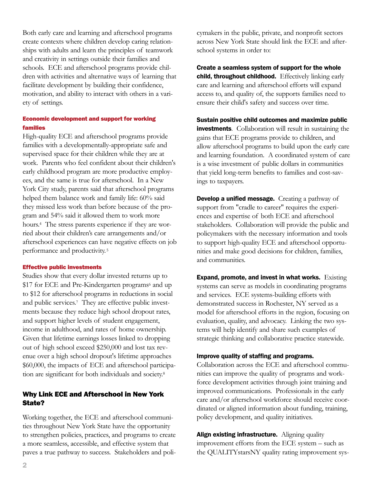Both early care and learning and afterschool programs create contexts where children develop caring relationships with adults and learn the principles of teamwork and creativity in settings outside their families and schools. ECE and afterschool programs provide children with activities and alternative ways of learning that facilitate development by building their confidence, motivation, and ability to interact with others in a variety of settings.

## Economic development and support for working families

High-quality ECE and afterschool programs provide families with a developmentally-appropriate safe and supervised space for their children while they are at work. Parents who feel confident about their children's early childhood program are more productive employees, and the same is true for afterschool. In a New York City study, parents said that afterschool programs helped them balance work and family life: 60% said they missed less work than before because of the program and 54% said it allowed them to work more hours.4 The stress parents experience if they are worried about their children's care arrangements and/or afterschool experiences can have negative effects on job performance and productivity. <sup>5</sup>

#### Effective public investments

Studies show that every dollar invested returns up to \$17 for ECE and Pre-Kindergarten programs<sup>6</sup> and up to \$12 for afterschool programs in reductions in social and public services.7 They are effective public investments because they reduce high school dropout rates, and support higher levels of student engagement, income in adulthood, and rates of home ownership. Given that lifetime earnings losses linked to dropping out of high school exceed \$250,000 and lost tax revenue over a high school dropout's lifetime approaches \$60,000, the impacts of ECE and afterschool participation are significant for both individuals and society.8

# Why Link ECE and Afterschool in New York State?

Working together, the ECE and afterschool communities throughout New York State have the opportunity to strengthen policies, practices, and programs to create a more seamless, accessible, and effective system that paves a true pathway to success. Stakeholders and policymakers in the public, private, and nonprofit sectors across New York State should link the ECE and afterschool systems in order to:

Create a seamless system of support for the whole child, throughout childhood. Effectively linking early care and learning and afterschool efforts will expand access to, and quality of, the supports families need to ensure their child's safety and success over time.

Sustain positive child outcomes and maximize public investments. Collaboration will result in sustaining the gains that ECE programs provide to children, and allow afterschool programs to build upon the early care and learning foundation. A coordinated system of care is a wise investment of public dollars in communities that yield long-term benefits to families and cost-savings to taxpayers.

**Develop a unified message.** Creating a pathway of support from "cradle to career" requires the experiences and expertise of both ECE and afterschool stakeholders. Collaboration will provide the public and policymakers with the necessary information and tools to support high-quality ECE and afterschool opportunities and make good decisions for children, families, and communities.

**Expand, promote, and invest in what works.** Existing systems can serve as models in coordinating programs and services. ECE systems-building efforts with demonstrated success in Rochester, NY served as a model for afterschool efforts in the region, focusing on evaluation, quality, and advocacy. Linking the two systems will help identify and share such examples of strategic thinking and collaborative practice statewide.

#### Improve quality of staffing and programs.

Collaboration across the ECE and afterschool communities can improve the quality of programs and workforce development activities through joint training and improved communications. Professionals in the early care and/or afterschool workforce should receive coordinated or aligned information about funding, training, policy development, and quality initiatives.

Align existing infrastructure. Aligning quality improvement efforts from the ECE system – such as the QUALITYstarsNY quality rating improvement sys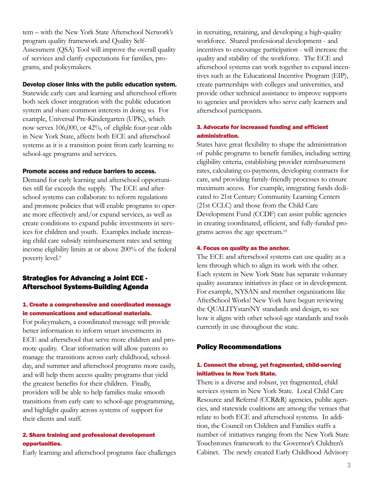tem – with the New York State Afterschool Network's program quality framework and Quality Self-Assessment (QSA) Tool will improve the overall quality of services and clarify expectations for families, programs, and policymakers.

#### Develop closer links with the public education system.

Statewide early care and learning and afterschool efforts both seek closer integration with the public education system and share common interests in doing so. For example, Universal Pre-Kindergarten (UPK), which now serves 106,000, or 42%, of eligible four-year olds in New York State, affects both ECE and afterschool systems as it is a transition point from early learning to school-age programs and services.

#### Promote access and reduce barriers to access.

Demand for early learning and afterschool opportunities still far exceeds the supply. The ECE and afterschool systems can collaborate to reform regulations and promote policies that will enable programs to operate more effectively and/or expand services, as well as create conditions to expand public investments in services for children and youth. Examples include increasing child care subsidy reimbursement rates and setting income eligibility limits at or above 200% of the federal poverty level.9

# Strategies for Advancing a Joint ECE - Afterschool Systems-Building Agenda

#### 1. Create a comprehensive and coordinated message in communications and educational materials.

For policymakers, a coordinated message will provide better information to inform smart investments in ECE and afterschool that serve more children and promote quality. Clear information will allow parents to manage the transitions across early childhood, schoolday, and summer and afterschool programs more easily, and will help them access quality programs that yield the greatest benefits for their children. Finally, providers will be able to help families make smooth transitions from early care to school-age programming, and highlight quality across systems of support for their clients and staff.

#### 2. Share training and professional development opportunities.

Early learning and afterschool programs face challenges

in recruiting, retaining, and developing a high-quality workforce. Shared professional development - and incentives to encourage participation - will increase the quality and stability of the workforce. The ECE and afterschool systems can work together to expand incentives such as the Educational Incentive Program (EIP), create partnerships with colleges and universities, and provide other technical assistance to improve supports to agencies and providers who serve early learners and afterschool participants.

# 3. Advocate for increased funding and efficient administration.

States have great flexibility to shape the administration of public programs to benefit families, including setting eligibility criteria, establishing provider reimbursement rates, calculating co-payments, developing contracts for care, and providing family-friendly processes to ensure maximum access. For example, integrating funds dedicated to 21st Century Community Learning Centers (21st CCLC) and those from the Child Care Development Fund (CCDF) can assist public agencies in creating coordinated, efficient, and fully-funded programs across the age spectrum.10

#### 4. Focus on quality as the anchor.

The ECE and afterschool systems can use quality as a lens through which to align its work with the other. Each system in New York State has separate voluntary quality assurance initiatives in place or in development. For example, NYSAN and member organizations like AfterSchool Works! New York have begun reviewing the QUALITYstarsNY standards and design, to see how it aligns with other school-age standards and tools currently in use throughout the state.

#### Policy Recommendations

# 1. Connect the strong, yet fragmented, child-serving initiatives in New York State.

There is a diverse and robust, yet fragmented, child services system in New York State. Local Child Care Resource and Referral (CCR&R) agencies, public agencies, and statewide coalitions are among the venues that relate to both ECE and afterschool systems. In addition, the Council on Children and Families staffs a number of initiatives ranging from the New York State Touchstones framework to the Governor's Children's Cabinet. The newly created Early Childhood Advisory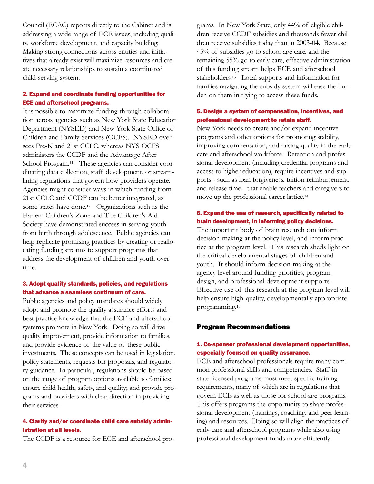Council (ECAC) reports directly to the Cabinet and is addressing a wide range of ECE issues, including quality, workforce development, and capacity building. Making strong connections across entities and initiatives that already exist will maximize resources and create necessary relationships to sustain a coordinated child-serving system.

# 2. Expand and coordinate funding opportunities for ECE and afterschool programs.

It is possible to maximize funding through collaboration across agencies such as New York State Education Department (NYSED) and New York State Office of Children and Family Services (OCFS). NYSED oversees Pre-K and 21st CCLC, whereas NYS OCFS administers the CCDF and the Advantage After School Program.<sup>11</sup> These agencies can consider coordinating data collection, staff development, or streamlining regulations that govern how providers operate. Agencies might consider ways in which funding from 21st CCLC and CCDF can be better integrated, as some states have done.<sup>12</sup> Organizations such as the Harlem Children's Zone and The Children's Aid Society have demonstrated success in serving youth from birth through adolescence. Public agencies can help replicate promising practices by creating or reallocating funding streams to support programs that address the development of children and youth over time.

# 3. Adopt quality standards, policies, and regulations that advance a seamless continuum of care.

Public agencies and policy mandates should widely adopt and promote the quality assurance efforts and best practice knowledge that the ECE and afterschool systems promote in New York. Doing so will drive quality improvement, provide information to families, and provide evidence of the value of these public investments. These concepts can be used in legislation, policy statements, requests for proposals, and regulatory guidance. In particular, regulations should be based on the range of program options available to families; ensure child health, safety, and quality; and provide programs and providers with clear direction in providing their services.

# 4. Clarify and/or coordinate child care subsidy administration at all levels.

The CCDF is a resource for ECE and afterschool pro-

grams. In New York State, only 44% of eligible children receive CCDF subsidies and thousands fewer children receive subsidies today than in 2003-04. Because 45% of subsidies go to school-age care, and the remaining 55% go to early care, effective administration of this funding stream helps ECE and afterschool stakeholders.13 Local supports and information for families navigating the subsidy system will ease the burden on them in trying to access these funds.

# 5. Design a system of compensation, incentives, and professional development to retain staff.

New York needs to create and/or expand incentive programs and other options for promoting stability, improving compensation, and raising quality in the early care and afterschool workforce. Retention and professional development (including credential programs and access to higher education), require incentives and supports - such as loan forgiveness, tuition reimbursement, and release time - that enable teachers and caregivers to move up the professional career lattice.14

# 6. Expand the use of research, specifically related to brain development, in informing policy decisions.

The important body of brain research can inform decision-making at the policy level, and inform practice at the program level. This research sheds light on the critical developmental stages of children and youth. It should inform decision-making at the agency level around funding priorities, program design, and professional development supports. Effective use of this research at the program level will help ensure high-quality, developmentally appropriate programming.15

#### Program Recommendations

# 1. Co-sponsor professional development opportunities, especially focused on quality assurance.

ECE and afterschool professionals require many common professional skills and competencies. Staff in state-licensed programs must meet specific training requirements, many of which are in regulations that govern ECE as well as those for school-age programs. This offers programs the opportunity to share professional development (trainings, coaching, and peer-learning) and resources. Doing so will align the practices of early care and afterschool programs while also using professional development funds more efficiently.